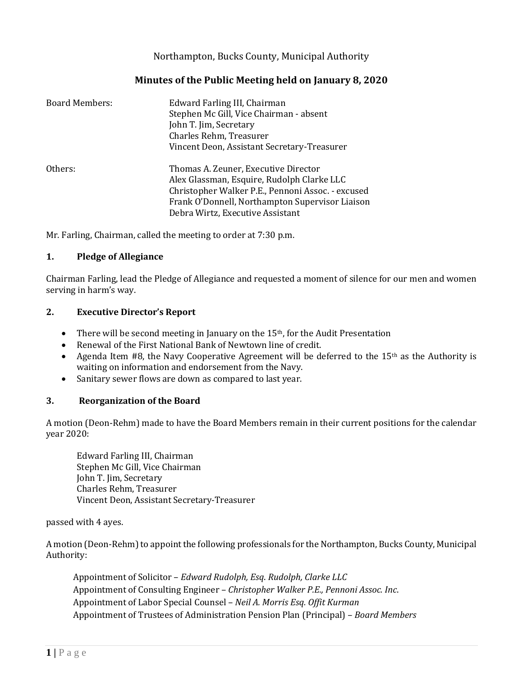# Northampton, Bucks County, Municipal Authority

# **Minutes of the Public Meeting held on January 8, 2020**

| <b>Board Members:</b> | Edward Farling III, Chairman<br>Stephen Mc Gill, Vice Chairman - absent<br>John T. Jim, Secretary<br>Charles Rehm, Treasurer<br>Vincent Deon, Assistant Secretary-Treasurer                                                    |
|-----------------------|--------------------------------------------------------------------------------------------------------------------------------------------------------------------------------------------------------------------------------|
| Others:               | Thomas A. Zeuner, Executive Director<br>Alex Glassman, Esquire, Rudolph Clarke LLC<br>Christopher Walker P.E., Pennoni Assoc. - excused<br>Frank O'Donnell, Northampton Supervisor Liaison<br>Debra Wirtz, Executive Assistant |

Mr. Farling, Chairman, called the meeting to order at 7:30 p.m.

## **1. Pledge of Allegiance**

Chairman Farling, lead the Pledge of Allegiance and requested a moment of silence for our men and women serving in harm's way.

## **2. Executive Director's Report**

- There will be second meeting in January on the 15<sup>th</sup>, for the Audit Presentation
- Renewal of the First National Bank of Newtown line of credit.
- Agenda Item #8, the Navy Cooperative Agreement will be deferred to the 15<sup>th</sup> as the Authority is waiting on information and endorsement from the Navy.
- Sanitary sewer flows are down as compared to last year.

## **3. Reorganization of the Board**

A motion (Deon-Rehm) made to have the Board Members remain in their current positions for the calendar year 2020:

Edward Farling III, Chairman Stephen Mc Gill, Vice Chairman John T. Jim, Secretary Charles Rehm, Treasurer Vincent Deon, Assistant Secretary-Treasurer

passed with 4 ayes.

A motion (Deon-Rehm) to appoint the following professionals for the Northampton, Bucks County, Municipal Authority:

Appointment of Solicitor – *Edward Rudolph, Esq*. *Rudolph, Clarke LLC* Appointment of Consulting Engineer – *Christopher Walker P.E., Pennoni Assoc. Inc*. Appointment of Labor Special Counsel – *Neil A. Morris Esq. Offit Kurman* Appointment of Trustees of Administration Pension Plan (Principal) – *Board Members*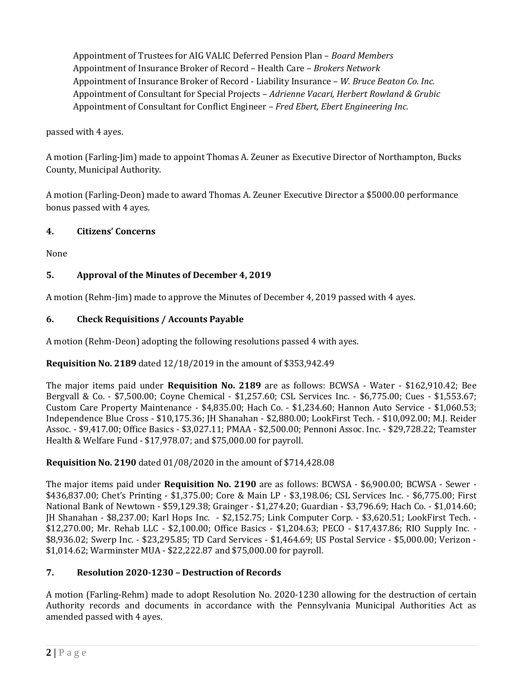Appointment of Trustees for AIG VALIC Deferred Pension Plan – *Board Members* Appointment of Insurance Broker of Record – Health Care – *Brokers Network* Appointment of Insurance Broker of Record - Liability Insurance – *W. Bruce Beaton Co. Inc.* Appointment of Consultant for Special Projects – *Adrienne Vacari, Herbert Rowland & Grubic* Appointment of Consultant for Conflict Engineer – *Fred Ebert, Ebert Engineering Inc.*

passed with 4 ayes.

A motion (Farling-Jim) made to appoint Thomas A. Zeuner as Executive Director of Northampton, Bucks County, Municipal Authority.

A motion (Farling-Deon) made to award Thomas A. Zeuner Executive Director a \$5000.00 performance bonus passed with 4 ayes.

# **4. Citizens' Concerns**

None

# **5. Approval of the Minutes of December 4, 2019**

A motion (Rehm-Jim) made to approve the Minutes of December 4, 2019 passed with 4 ayes.

# **6. Check Requisitions / Accounts Payable**

A motion (Rehm-Deon) adopting the following resolutions passed 4 with ayes.

## **Requisition No. 2189** dated 12/18/2019 in the amount of \$353,942.49

The major items paid under **Requisition No. 2189** are as follows: BCWSA - Water - \$162,910.42; Bee Bergvall & Co. - \$7,500.00; Coyne Chemical - \$1,257.60; CSL Services Inc. - \$6,775.00; Cues - \$1,553.67; Custom Care Property Maintenance - \$4,835.00; Hach Co. - \$1,234.60; Hannon Auto Service - \$1,060.53; Independence Blue Cross - \$10,175.36; JH Shanahan - \$2,880.00; LookFirst Tech. - \$10,092.00; M.J. Reider Assoc. - \$9,417.00; Office Basics - \$3,027.11; PMAA - \$2,500.00; Pennoni Assoc. Inc. - \$29,728.22; Teamster Health & Welfare Fund - \$17,978.07; and \$75,000.00 for payroll.

## **Requisition No. 2190** dated 01/08/2020 in the amount of \$714,428.08

The major items paid under **Requisition No. 2190** are as follows: BCWSA - \$6,900.00; BCWSA - Sewer - \$436,837.00; Chet's Printing - \$1,375.00; Core & Main LP - \$3,198.06; CSL Services Inc. - \$6,775.00; First National Bank of Newtown - \$59,129.38; Grainger - \$1,274.20; Guardian - \$3,796.69; Hach Co. - \$1,014.60; JH Shanahan - \$8,237.00; Karl Hops Inc. - \$2,152.75; Link Computer Corp. - \$3,620.51; LookFirst Tech. - \$12,270.00; Mr. Rehab LLC - \$2,100.00; Office Basics - \$1,204.63; PECO - \$17,437.86; RIO Supply Inc. - \$8,936.02; Swerp Inc. - \$23,295.85; TD Card Services - \$1,464.69; US Postal Service - \$5,000.00; Verizon - \$1,014.62; Warminster MUA - \$22,222.87 and \$75,000.00 for payroll.

# **7. Resolution 2020-1230 – Destruction of Records**

A motion (Farling-Rehm) made to adopt Resolution No. 2020-1230 allowing for the destruction of certain Authority records and documents in accordance with the Pennsylvania Municipal Authorities Act as amended passed with 4 ayes.